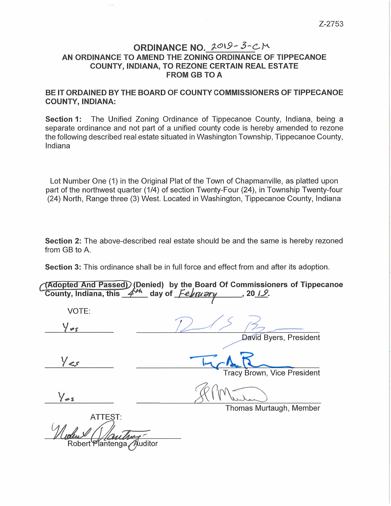## ORDINANCE NO. 2019-3-CM Z<br>ORDINANCE NO. 2019-3-CM<br>AN ORDINANCE TO AMEND THE ZONING ORDINANCE OF TIPPECANOE ORDINANCE NO. 2019-3-CM<br>INANCE TO AMEND THE ZONING ORDINANCE OF TIPPI<br>COUNTY, INDIANA, TO REZONE CERTAIN REAL ESTATE **NCE NO.\_20**<br>THE ZONING C<br>O REZONE CE<br>FROM GB TO *A* AN ORDINANCE TO AMEND THE ZONING ORDINANCE OF TIPPECANOE<br>COUNTY, INDIANA, TO REZONE CERTAIN REAL ESTATE<br>FROM GB TO A<br>BE IT ORDAINED BY THE BOARD OF COUNTY COMMISSIONERS OF TIPPECANOE

## COUNTY, INDIANA:

Section 1: The Unified Zoning Ordinance of Tippecanoe County, Indiana, being a COUNTY, INDIANA:<br>Section 1: The Unified Zoning Ordinance of Tippecanoe County, Indiana, being a<br>separate ordinance and not part of a unified county code is hereby amended to rezone Section 1: The Unified Zoning Ordinance of Tippecanoe County, Indiana, being a<br>separate ordinance and not part of a unified county code is hereby amended to rezone<br>the following described real estate situated in Washington **Sectio**<br>separa<br>the follo<br>Indiana

Lot Number One (1) in the Original Plat of the Town of Chapmanville, as platted upon Lot Number One (1) in the Original Plat of the Town of Chapmanville, as platted upon<br>part of the northwest quarter (1/4) of section Twenty-Four (24), in Township Twenty-four Lot Number One (1) in the Original Plat of the Town of Chapmanville, as platted upon<br>vart of the northwest quarter (1/4) of section Twenty-Four (24), in Township Twenty-fou<br>(24) North, Range three (3) West. Located in Wash

**Section 2:** The above-described real estate should be and the same is hereby rezoned<br>**Section 2:** The above-described real estate should be and the same is hereby rezoned **Section 2:** T<br>**from GB to A Section 2:** The above-described real estate should be and the same is hereby rezo<br>from GB to A.<br>**Section 3:** This ordinance shall be in full force and effect from and after its adoption Section 2: The above-described real estate should be and the same is hereby rezoned<br>from GB to A.<br>Section 3: This ordinance shall be in full force and effect from and after its adoption.<br>(Adopted And Passed) (Denied) by th

Section 3: This ordinance shall be in full force and effect from and<br>(Adopted And Passed) (Denied) by the Board Of Commissio<br>County, Indiana, this \_4 <sup>//4</sup>\_ day of \_*February* \_\_\_\_\_, 20 <u>I *9*</u> County, Indiana, this  $A^{\mu\nu}$  day of *February*<br>VOTE: pted And Passed) (Denied) by the Board Of Commissioners<br>
ity, Indiana, this  $4^{\mu}$  day of *February* . 2019.<br>
VOTE:<br>
Ves David Byers,

 $\overline{a}$  /(  $\overline{a}$ P  $P_1$  /  $S$   $P_2$   $P_3$ 

David Byers, President

Tracy Brown, Vice President  $\frac{V_{cs}}{V_{cs}}$   $\frac{V_{cs}}{V_{cs}}$ 

Thomas Murtaugh, Member

ATTEST:Robert Plantenga. uditor